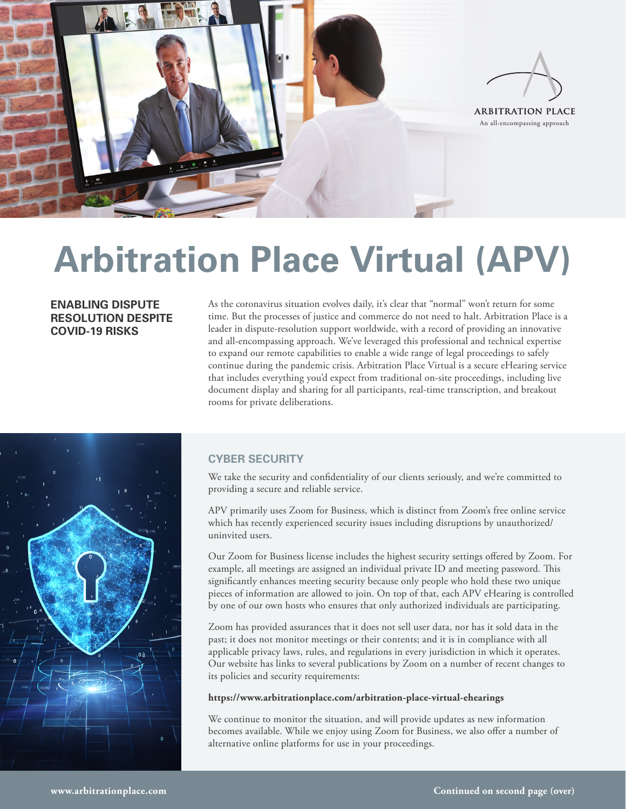

# **Arbitration Place Virtual (APV)**

**ENABLING DISPUTE RESOLUTION DESPITE COVID-19 RISKS**

As the coronavirus situation evolves daily, it's clear that "normal" won't return for some time. But the processes of justice and commerce do not need to halt. Arbitration Place is a leader in dispute-resolution support worldwide, with a record of providing an innovative and all-encompassing approach. We've leveraged this professional and technical expertise to expand our remote capabilities to enable a wide range of legal proceedings to safely continue during the pandemic crisis. Arbitration Place Virtual is a secure eHearing service that includes everything you'd expect from traditional on-site proceedings, including live document display and sharing for all participants, real-time transcription, and breakout rooms for private deliberations.



## **CYBER SECURITY**

We take the security and confidentiality of our clients seriously, and we're committed to providing a secure and reliable service.

APV primarily uses Zoom for Business, which is distinct from Zoom's free online service which has recently experienced security issues including disruptions by unauthorized/ uninvited users.

Our Zoom for Business license includes the highest security settings offered by Zoom. For example, all meetings are assigned an individual private ID and meeting password. This significantly enhances meeting security because only people who hold these two unique pieces of information are allowed to join. On top of that, each APV eHearing is controlled by one of our own hosts who ensures that only authorized individuals are participating.

Zoom has provided assurances that it does not sell user data, nor has it sold data in the past; it does not monitor meetings or their contents; and it is in compliance with all applicable privacy laws, rules, and regulations in every jurisdiction in which it operates. Our website has links to several publications by Zoom on a number of recent changes to its policies and security requirements:

#### **https://www.arbitrationplace.com/arbitration-place-virtual-ehearings**

We continue to monitor the situation, and will provide updates as new information becomes available. While we enjoy using Zoom for Business, we also offer a number of alternative online platforms for use in your proceedings.